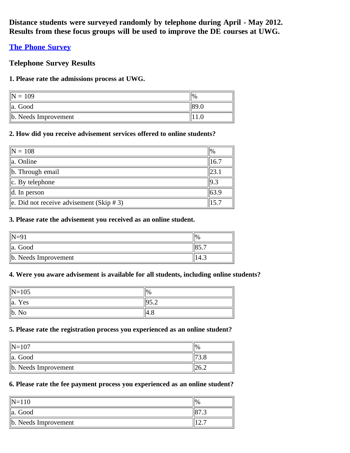**Distance students were surveyed randomly by telephone during April - May 2012. Results from these focus groups will be used to improve the DE courses at UWG.**

# **[The Phone Survey](http://www.surveymonkey.com/s/PhoneSurveys2013)**

# **Telephone Survey Results**

### **1. Please rate the admissions process at UWG.**

| 109                       | $\frac{10}{6}$ |
|---------------------------|----------------|
| Good<br>lla.              |                |
| $\ $ b. Needs Improvement |                |

### **2. How did you receive advisement services offered to online students?**

| $\vert\vert N=108 \vert$                             | $\frac{10}{6}$ |
|------------------------------------------------------|----------------|
| $\ $ a. Online                                       | 16.7           |
| b. Through email                                     | 23.1           |
| $\ c.$ By telephone                                  | 9.3            |
| $\parallel$ d. In person                             | 63.9           |
| $\parallel$ e. Did not receive advisement (Skip # 3) | 15.7           |

#### **3. Please rate the advisement you received as an online student.**

|                           | $^{10}$ |
|---------------------------|---------|
| Good<br>$\parallel$ a.    |         |
| $\ $ b. Needs Improvement |         |

### **4. Were you aware advisement is available for all students, including online students?**

| $\ N=105$                 | $\frac{1}{2}$      |
|---------------------------|--------------------|
| $\parallel$ a.<br>Yes     | $\vert 05 \rangle$ |
| $\ $ b.<br>N <sub>o</sub> | ∆.⊬∵               |

#### **5. Please rate the registration process you experienced as an online student?**

| $\text{IN} - 107$         |  |
|---------------------------|--|
| Good<br>la.               |  |
| $\ $ b. Needs Improvement |  |

# **6. Please rate the fee payment process you experienced as an online student?**

| $\mathsf{IN}\mathsf{=}\mathsf{1}\mathsf{1}\mathsf{0}$ |  |
|-------------------------------------------------------|--|
| Good<br>lla.                                          |  |
| $\ $ b. Needs Improvement                             |  |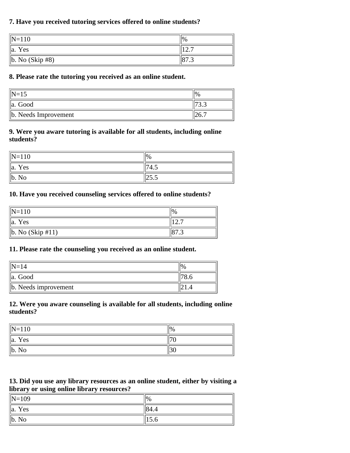### **7. Have you received tutoring services offered to online students?**

| $\left N=110\right\rangle$ | $\frac{9}{6}$ |
|----------------------------|---------------|
| Yes<br>lla.                | --            |
| $\ $ b. No (Skip #8)       | 0/0.5         |

#### **8. Please rate the tutoring you received as an online student.**

| $\mathsf{IN}\text{-}15$   | $\frac{10}{6}$ |
|---------------------------|----------------|
| Good<br>la.               | ت ب            |
| $\ $ b. Needs Improvement |                |

#### **9. Were you aware tutoring is available for all students, including online students?**

| $\left  N=110 \right.$ | $\frac{10}{6}$ |
|------------------------|----------------|
| $\ $ a. Yes            | "74.           |
| $\ $ b. No             | ن.ر∠∟          |

#### **10. Have you received counseling services offered to online students?**

| $\ N=110$              | $\%$ |
|------------------------|------|
| $\ a\ $<br>Yes         |      |
| $\ b. No (Skip #11)\ $ |      |

#### **11. Please rate the counseling you received as an online student.**

|                           | 10, |
|---------------------------|-----|
| a. Good                   |     |
| $\ $ b. Needs improvement |     |

### **12. Were you aware counseling is available for all students, including online students?**

| $\left  N=110 \right.$ | $\frac{10}{6}$ |
|------------------------|----------------|
| $\ a\ $<br>Yes         |                |
| $\ $ b.<br>No          | ∣J∪            |

### **13. Did you use any library resources as an online student, either by visiting a library or using online library resources?**

| $\ N=109$             | $\frac{10}{6}$ |
|-----------------------|----------------|
| Yes<br>$\parallel$ a. | 84.4           |
| b. No                 | 1 J J J        |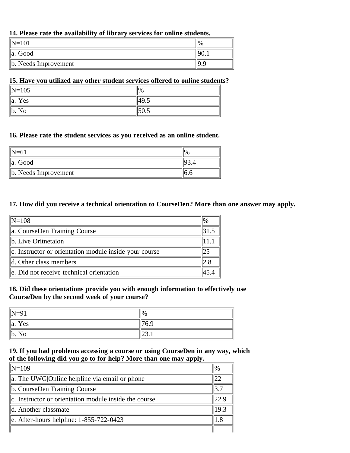#### **14. Please rate the availability of library services for online students.**

| $\mathbb{N} = 1$       | %   |
|------------------------|-----|
| Good<br>$\parallel$ a. |     |
| b. Needs Improvement   | IQ. |

#### **15. Have you utilized any other student services offered to online students?**

| $\ N=105$      | $\frac{10}{6}$ |
|----------------|----------------|
| $\ a\ $<br>Yes | $^{149.5}$     |
| $\ $ b. No     | ⊞JU.J          |

#### **16. Please rate the student services as you received as an online student.**

| $\mathsf{IN}\mathsf{-61}$ |  |
|---------------------------|--|
| Good<br>la.               |  |
| $\ $ b. Needs Improvement |  |

#### **17. How did you receive a technical orientation to CourseDen? More than one answer may apply.**

| $\ N=108$                                              | $1\%$ |
|--------------------------------------------------------|-------|
| a. CourseDen Training Course                           |       |
| b. Live Oritnetaion                                    |       |
| c. Instructor or orientation module inside your course | 125   |
| d. Other class members                                 | 2.8   |
| le. Did not receive technical orientation              | 45.4  |

#### **18. Did these orientations provide you with enough information to effectively use CourseDen by the second week of your course?**

| $\parallel$ N=91   | $\frac{1}{2}$ |
|--------------------|---------------|
| $\parallel$ a. Yes | '6.9          |
| $\ $ b. No         | 20.1          |

#### **19. If you had problems accessing a course or using CourseDen in any way, which of the following did you go to for help? More than one may apply.**  $\equiv$

| $\mathbb{N}=109$                                      | $\frac{1}{2}$ |
|-------------------------------------------------------|---------------|
| $\ $ a. The UWG Online helpline via email or phone    | 122           |
| b. CourseDen Training Course                          | 3.7           |
| c. Instructor or orientation module inside the course | 22.9          |
| ld. Another classmate                                 | 19.3          |
| $\ $ e. After-hours helpline: 1-855-722-0423          | 1.8           |
|                                                       |               |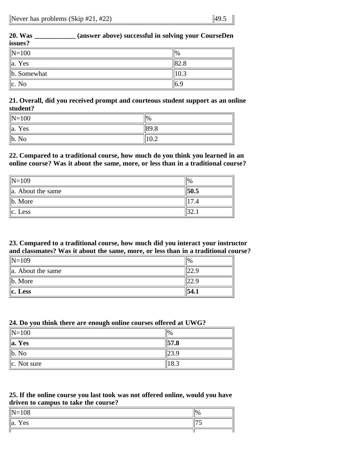| <b>20. Was</b>     | (answer above) successful in solving your CourseDen |                |
|--------------------|-----------------------------------------------------|----------------|
| issues?            |                                                     |                |
| $\ N=100$          |                                                     | $\frac{10}{6}$ |
| $\parallel$ a. Yes |                                                     | 82.8           |
| $\ $ b. Somewhat   |                                                     | 10.3           |
| $\ c. No\ $        |                                                     | 6.9            |

#### **21. Overall, did you received prompt and courteous student support as an online student?**

| $\ N=100$                 | 0/0               |
|---------------------------|-------------------|
| $\parallel$ a.<br>Yes     | $\frac{189.8}{ }$ |
| $\ $ b.<br>N <sub>o</sub> | 10.4              |

### **22. Compared to a traditional course, how much do you think you learned in an online course? Was it about the same, more, or less than in a traditional course?**

| $\text{N}=109$         | $\frac{10}{6}$ |
|------------------------|----------------|
| $\ $ a. About the same | 50.5           |
| $\ $ b. More           |                |
| $\ c.$ Less            |                |

### **23. Compared to a traditional course, how much did you interact your instructor and classmates? Was it about the same, more, or less than in a traditional course?**

| $\ N=109$              | $\frac{10}{6}$ |
|------------------------|----------------|
| $\ $ a. About the same |                |
| $\ $ b. More           | ر و ساعت       |
| $\ c.$ Less            | 54.1           |

# **24. Do you think there are enough online courses offered at UWG?**

| $\vert\vert N=100$ | $\frac{10}{6}$   |
|--------------------|------------------|
| $\ $ a. Yes        | $\parallel$ 57.8 |
| $\ $ b. No         | 23.9             |
| $\ c.$ Not sure    | 18.3             |

### **25. If the online course you last took was not offered online, would you have driven to campus to take the course?**

| $\ N=108$      | $\frac{10}{6}$ |
|----------------|----------------|
| $\ a\ $<br>Yes |                |
|                |                |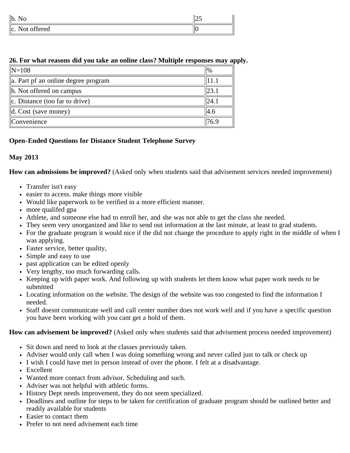| $\ $ b.<br>11 U                                       | ر ۱۷ |
|-------------------------------------------------------|------|
| offered<br>$\ c_{\cdot}\ $<br>$N \cap$<br><b>INUL</b> | ĸ    |

### **26. For what reasons did you take an online class? Multiple responses may apply.**

| $\sqrt{N=108}$                      | $\frac{10}{6}$ |
|-------------------------------------|----------------|
| a. Part pf an online degree program |                |
| b. Not offered on campus            | 23.1           |
| $\ c.$ Distance (too far to drive)  | 24.1           |
| $\parallel$ d. Cost (save money)    | 14.6           |
| Convenience                         | 76.9           |

# **Open-Ended Questions for Distance Student Telephone Survey**

# **May 2013**

**How can admissions be improved?** (Asked only when students said that advisement services needed improvement)

- Transfer isn't easy
- easier to access. make things more visible
- Would like paperwork to be verified in a more efficient manner.
- more qualifed gpa
- Athlete, and someone else had to enroll her, and she was not able to get the class she needed.
- They seem very unorganized and like to send out information at the last minute, at least to grad students.
- For the graduate program it would nice if the did not change the procedure to apply right in the middle of when I was applying.
- Faster service, better quality,
- Simple and easy to use
- past application can be edited openly
- Very lengthy, too much forwarding calls.
- Keeping up with paper work. And following up with students let them know what paper work needs to be submitted
- Locating information on the website. The design of the website was too congested to find the information I needed.
- Staff doesnt communicate well and call center number does not work well and if you have a specific question you have been working with you cant get a hold of them.

### **How can advisement be improved?** (Asked only when students said that advisement process needed improvement)

- Sit down and need to look at the classes previously taken.
- Adviser would only call when I was doing something wrong and never called just to talk or check up
- I wish I could have met in person instead of over the phone. I felt at a disadvantage.
- Excellent
- Wanted more contact from advisor. Scheduling and such.
- Adviser was not helpful with athletic forms.
- History Dept needs improvement, they do not seem specialized.
- Deadlines and outline for steps to be taken for certification of graduate program should be outlined better and readily available for students
- Easier to contact them
- Prefer to not need advisement each time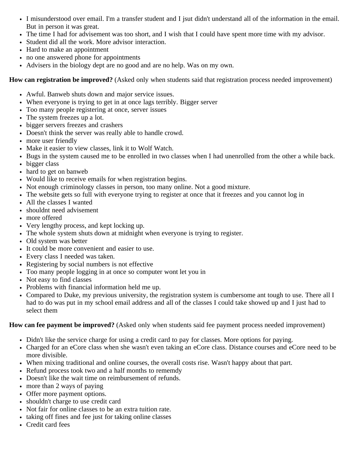- I misunderstood over email. I'm a transfer student and I jsut didn't understand all of the information in the email. But in person it was great.
- The time I had for advisement was too short, and I wish that I could have spent more time with my advisor.
- Student did all the work. More advisor interaction.
- Hard to make an appointment
- no one answered phone for appointments
- Advisers in the biology dept are no good and are no help. Was on my own.

**How can registration be improved?** (Asked only when students said that registration process needed improvement)

- Awful. Banweb shuts down and major service issues.
- When everyone is trying to get in at once lags terribly. Bigger server
- Too many people registering at once, server issues
- The system freezes up a lot.
- bigger servers freezes and crashers
- Doesn't think the server was really able to handle crowd.
- more user friendly
- Make it easier to view classes, link it to Wolf Watch.
- Bugs in the system caused me to be enrolled in two classes when I had unenrolled from the other a while back.
- bigger class
- hard to get on banweb
- Would like to receive emails for when registration begins.
- Not enough criminology classes in person, too many online. Not a good mixture.
- The website gets so full with everyone trying to register at once that it freezes and you cannot log in
- All the classes I wanted
- shouldnt need advisement
- more offered
- Very lengthy process, and kept locking up.
- The whole system shuts down at midnight when everyone is trying to register.
- Old system was better
- It could be more convenient and easier to use.
- Every class I needed was taken.
- Registering by social numbers is not effective
- Too many people logging in at once so computer wont let you in
- Not easy to find classes
- Problems with financial information held me up.
- Compared to Duke, my previous university, the registration system is cumbersome ant tough to use. There all I had to do was put in my school email address and all of the classes I could take showed up and I just had to select them

### **How can fee payment be improved?** (Asked only when students said fee payment process needed improvement)

- Didn't like the service charge for using a credit card to pay for classes. More options for paying.
- Charged for an eCore class when she wasn't even taking an eCore class. Distance courses and eCore need to be more divisible.
- When mixing traditional and online courses, the overall costs rise. Wasn't happy about that part.
- Refund process took two and a half months to rememdy
- Doesn't like the wait time on reimbursement of refunds.
- more than 2 ways of paying
- Offer more payment options.
- shouldn't charge to use credit card
- Not fair for online classes to be an extra tuition rate.
- taking off fines and fee just for taking online classes
- Credit card fees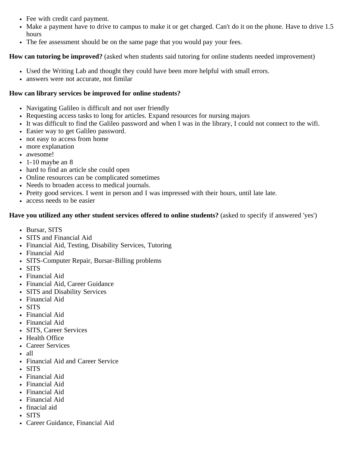- Fee with credit card payment.
- Make a payment have to drive to campus to make it or get charged. Can't do it on the phone. Have to drive 1.5 hours
- The fee assessment should be on the same page that you would pay your fees.

# **How can tutoring be improved?** (asked when students said tutoring for online students needed improvement)

- Used the Writing Lab and thought they could have been more helpful with small errors.
- answers were not accurate, not fimilar

# **How can library services be improved for online students?**

- Navigating Galileo is difficult and not user friendly
- Requesting access tasks to long for articles. Expand resources for nursing majors
- It was difficult to find the Galileo password and when I was in the library, I could not connect to the wifi.
- Easier way to get Galileo password.
- not easy to access from home
- more explanation
- awesome!
- $\cdot$  1-10 maybe an 8
- hard to find an article she could open
- Online resources can be complicated sometimes
- Needs to broaden access to medical journals.
- Pretty good services. I went in person and I was impressed with their hours, until late late.
- access needs to be easier

# **Have you utilized any other student services offered to online students?** (asked to specify if answered 'yes')

- Bursar, SITS
- SITS and Financial Aid
- Financial Aid, Testing, Disability Services, Tutoring
- Financial Aid
- SITS-Computer Repair, Bursar-Billing problems
- SITS
- Financial Aid
- Financial Aid, Career Guidance
- SITS and Disability Services
- Financial Aid
- SITS
- Financial Aid
- Financial Aid
- SITS, Career Services
- Health Office
- Career Services
- $\bullet$  all
- Financial Aid and Career Service
- SITS
- Financial Aid
- Financial Aid
- Financial Aid
- Financial Aid
- finacial aid
- SITS
- Career Guidance, Financial Aid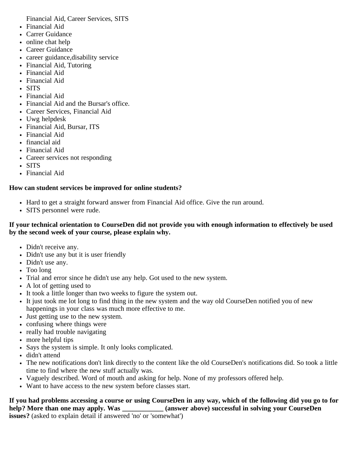Financial Aid, Career Services, SITS

- Financial Aid
- Carrer Guidance
- online chat help
- Career Guidance
- career guidance,disability service
- Financial Aid, Tutoring
- Financial Aid
- Financial Aid
- SITS
- Financial Aid
- Financial Aid and the Bursar's office.
- Career Services, Financial Aid
- Uwg helpdesk
- Financial Aid, Bursar, ITS
- Financial Aid
- financial aid
- Financial Aid
- Career services not responding
- SITS
- Financial Aid

# **How can student services be improved for online students?**

- Hard to get a straight forward answer from Financial Aid office. Give the run around.
- SITS personnel were rude.

### **If your technical orientation to CourseDen did not provide you with enough information to effectively be used by the second week of your course, please explain why.**

- Didn't receive any.
- Didn't use any but it is user friendly
- Didn't use any.
- Too long
- Trial and error since he didn't use any help. Got used to the new system.
- A lot of getting used to
- It took a little longer than two weeks to figure the system out.
- It just took me lot long to find thing in the new system and the way old CourseDen notified you of new happenings in your class was much more effective to me.
- Just getting use to the new system.
- confusing where things were
- really had trouble navigating
- more helpful tips
- Says the system is simple. It only looks complicated.
- didn't attend
- The new notifications don't link directly to the content like the old CourseDen's notifications did. So took a little time to find where the new stuff actually was.
- Vaguely described. Word of mouth and asking for help. None of my professors offered help.
- Want to have access to the new system before classes start.

**If you had problems accessing a course or using CourseDen in any way, which of the following did you go to for help? More than one may apply. Was \_\_\_\_\_\_\_\_\_\_\_\_ (answer above) successful in solving your CourseDen issues?** (asked to explain detail if answered 'no' or 'somewhat')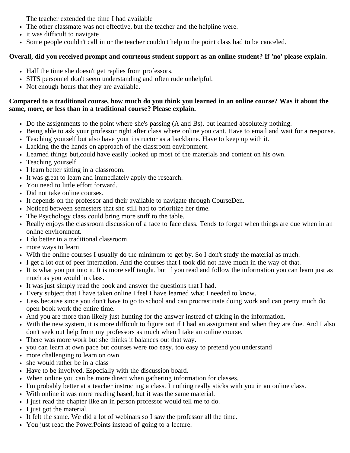The teacher extended the time I had available

- The other classmate was not effective, but the teacher and the helpline were.
- it was difficult to navigate
- Some people couldn't call in or the teacher couldn't help to the point class had to be canceled.

# **Overall, did you received prompt and courteous student support as an online student? If 'no' please explain.**

- Half the time she doesn't get replies from professors.
- SITS personnel don't seem understanding and often rude unhelpful.
- Not enough hours that they are available.

# **Compared to a traditional course, how much do you think you learned in an online course? Was it about the same, more, or less than in a traditional course? Please explain.**

- Do the assignments to the point where she's passing (A and Bs), but learned absolutely nothing.
- Being able to ask your professor right after class where online you cant. Have to email and wait for a response.
- Teaching yourself but also have your instructor as a backbone. Have to keep up with it.
- Lacking the the hands on approach of the classroom environment.
- Learned things but,could have easily looked up most of the materials and content on his own.
- Teaching yourself
- I learn better sitting in a classroom.
- It was great to learn and immediately apply the research.
- You need to little effort forward.
- Did not take online courses.
- It depends on the professor and their available to navigate through CourseDen.
- Noticed between semesters that she still had to prioritize her time.
- The Psychology class could bring more stuff to the table.
- Really enjoys the classroom discussion of a face to face class. Tends to forget when things are due when in an online environment.
- I do better in a traditional classroom
- more ways to learn
- WIth the online courses I usually do the minimum to get by. So I don't study the material as much.
- I get a lot out of peer interaction. And the courses that I took did not have much in the way of that.
- It is what you put into it. It is more self taught, but if you read and follow the information you can learn just as much as you would in class.
- It was just simply read the book and answer the questions that I had.
- Every subject that I have taken online I feel I have learned what I needed to know.
- Less because since you don't have to go to school and can procrastinate doing work and can pretty much do open book work the entire time.
- And you are more than likely just hunting for the answer instead of taking in the information.
- With the new system, it is more difficult to figure out if I had an assignment and when they are due. And I also don't seek out help from my professors as much when I take an online course.
- There was more work but she thinks it balances out that way.
- you can learn at own pace but courses were too easy. too easy to pretend you understand
- more challenging to learn on own
- she would rather be in a class
- Have to be involved. Especially with the discussion board.
- When online you can be more direct when gathering information for classes.
- I'm probably better at a teacher instructing a class. I nothing really sticks with you in an online class.
- With online it was more reading based, but it was the same material.
- I just read the chapter like an in person professor would tell me to do.
- I just got the material.
- It felt the same. We did a lot of webinars so I saw the professor all the time.
- You just read the PowerPoints instead of going to a lecture.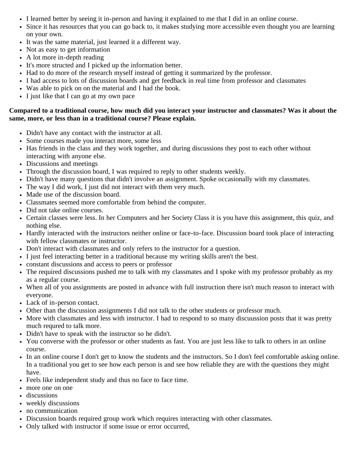- I learned better by seeing it in-person and having it explained to me that I did in an online course.
- Since it has resources that you can go back to, it makes studying more accessible even thought you are learning on your own.
- It was the same material, just learned it a different way.
- Not as easy to get information
- A lot more in-depth reading
- It's more structed and I picked up the information better.
- Had to do more of the research myself instead of getting it summarized by the professor.
- I had access to lots of discussion boards and get feedback in real time from professor and classmates
- Was able to pick on on the material and I had the book.
- I just like that I can go at my own pace

### **Compared to a traditional course, how much did you interact your instructor and classmates? Was it about the same, more, or less than in a traditional course? Please explain.**

- Didn't have any contact with the instructor at all.
- Some courses made you interact more, some less
- Has friends in the class and they work together, and during discussions they post to each other without interacting with anyone else.
- Discussions and meetings
- Through the discussion board, I was required to reply to other students weekly.
- Didn't have many questions that didn't involve an assignment. Spoke occasionally with my classmates.
- The way I did work, I just did not interact with them very much.
- Made use of the discussion board.
- Classmates seemed more comfortable from behind the computer.
- Did not take online courses.
- Certain classes were less. In her Computers and her Society Class it is you have this assignment, this quiz, and nothing else.
- Hardly interacted with the instructors neither online or face-to-face. Discussion board took place of interacting with fellow classmates or instructor.
- Don't interact with classmates and only refers to the instructor for a question.
- I just feel interacting better in a traditional because my writing skills aren't the best.
- constant discussions and access to peers or professor
- The required discussions pushed me to talk with my classmates and I spoke with my professor probably as my as a regular course.
- When all of you assignments are posted in advance with full instruction there isn't much reason to interact with everyone.
- Lack of in-person contact.
- Other than the discussion assignments I did not talk to the other students or professor much.
- More with classmates and less with instructor. I had to respond to so many discuussion posts that it was pretty much requred to talk more.
- Didn't have to speak with the instructor so he didn't.
- You converse with the professor or other students as fast. You are just less like to talk to others in an online course.
- In an online course I don't get to know the students and the instructors. So I don't feel comfortable asking online. In a traditional you get to see how each person is and see how reliable they are with the questions they might have.
- Feels like independent study and thus no face to face time.
- more one on one
- discussions
- weekly discussions
- no communication
- Discussion boards required group work which requires interacting with other classmates.
- Only talked with instructor if some issue or error occurred,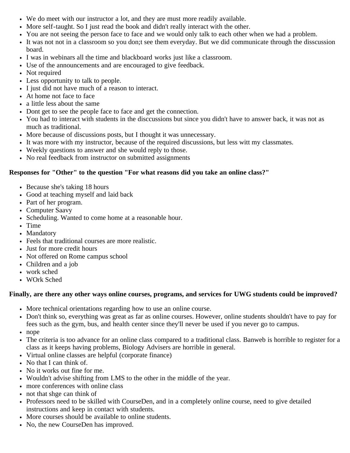- We do meet with our instructor a lot, and they are must more readily available.
- More self-taught. So I just read the book and didn't really interact with the other.
- You are not seeing the person face to face and we would only talk to each other when we had a problem.
- It was not not in a classroom so you don;t see them everyday. But we did communicate through the disscussion board.
- I was in webinars all the time and blackboard works just like a classroom.
- Use of the announcements and are encouraged to give feedback.
- Not required
- Less opportunity to talk to people.
- I just did not have much of a reason to interact.
- At home not face to face
- a little less about the same
- Dont get to see the people face to face and get the connection.
- You had to interact with students in the disccussions but since you didn't have to answer back, it was not as much as traditional.
- More because of discussions posts, but I thought it was unnecessary.
- It was more with my instructor, because of the required discussions, but less witt my classmates.
- Weekly questions to answer and she would reply to those.
- No real feedback from instructor on submitted assignments

# **Responses for "Other" to the question "For what reasons did you take an online class?"**

- Because she's taking 18 hours
- Good at teaching myself and laid back
- Part of her program.
- Computer Saavy
- Scheduling. Wanted to come home at a reasonable hour.
- Time
- Mandatory
- Feels that traditional courses are more realistic.
- Just for more credit hours
- Not offered on Rome campus school
- Children and a job
- work sched
- WOrk Sched

# **Finally, are there any other ways online courses, programs, and services for UWG students could be improved?**

- More technical orientations regarding how to use an online course.
- Don't think so, everything was great as far as online courses. However, online students shouldn't have to pay for fees such as the gym, bus, and health center since they'll never be used if you never go to campus.
- nope
- The criteria is too advance for an online class compared to a traditional class. Banweb is horrible to register for a class as it keeps having problems, Biology Advisers are horrible in general.
- Virtual online classes are helpful (corporate finance)
- No that I can think of.
- No it works out fine for me.
- Wouldn't advise shifting from LMS to the other in the middle of the year.
- more conferences with online class
- not that shge can think of
- Professors need to be skilled with CourseDen, and in a completely online course, need to give detailed instructions and keep in contact with students.
- More courses should be available to online students.
- No, the new CourseDen has improved.